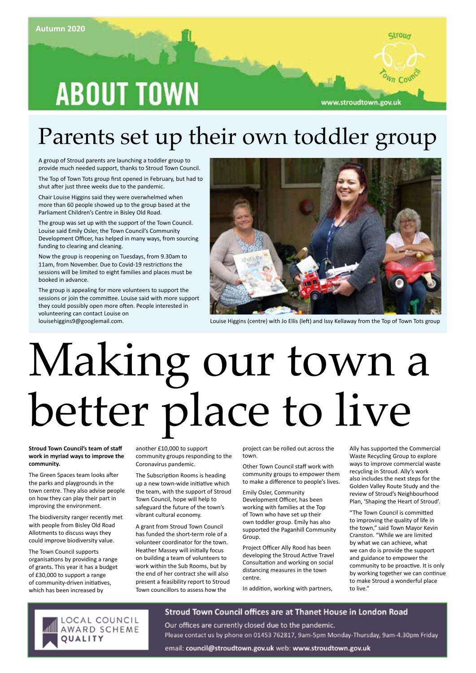## **ABOUT TOWN**



louisehiggins9@googlemail.com. Louise Higgins (centre) with Jo Ellis (left) and Issy Kellaway from the Top of Town Tots group

## Parents set up their own toddler group

A group of Stroud parents are launching a toddler group to provide much needed support, thanks to Stroud Town Council.

The Top of Town Tots group first opened in February, but had to shut after just three weeks due to the pandemic.

Chair Louise Higgins said they were overwhelmed when more than 60 people showed up to the group based at the Parliament Children's Centre in Bisley Old Road.

The group was set up with the support of the Town Council. Louise said Emily Osler, the Town Council's Community Development Officer, has helped in many ways, from sourcing funding to clearing and cleaning.

Now the group is reopening on Tuesdays, from 9.30am to 11am, from November. Due to Covid-19 restrictions the sessions will be limited to eight families and places must be booked in advance.

The group is appealing for more volunteers to support the sessions or join the committee. Louise said with more support they could possibly open more often. People interested in volunteering can contact Louise on

# Making our town a better place to live

**Stroud Town Council's team of staff work in myriad ways to improve the community.**

The Green Spaces team looks after the parks and playgrounds in the town centre. They also advise people on how they can play their part in improving the environment.

The biodiversity ranger recently met with people from Bisley Old Road Allotments to discuss ways they could improve biodiversity value.

The Town Council supports organisations by providing a range of grants. This year it has a budget of £30,000 to support a range of community-driven initiatives, which has been increased by

another £10,000 to support community groups responding to the Coronavirus pandemic.

The Subscription Rooms is heading up a new town-wide initiative which the team, with the support of Stroud Town Council, hope will help to safeguard the future of the town's vibrant cultural economy.

A grant from Stroud Town Council has funded the short-term role of a volunteer coordinator for the town. Heather Massey will initially focus on building a team of volunteers to work within the Sub Rooms, but by the end of her contract she will also present a feasibility report to Stroud Town councillors to assess how the

project can be rolled out across the town.

Other Town Council staff work with community groups to empower them to make a difference to people's lives.

Emily Osler, Community Development Officer, has been working with families at the Top of Town who have set up their own toddler group. Emily has also supported the Paganhill Community Group.

Project Officer Ally Rood has been developing the Stroud Active Travel Consultation and working on social distancing measures in the town centre.

In addition, working with partners,

Ally has supported the Commercial Waste Recycling Group to explore ways to improve commercial waste recycling in Stroud. Ally's work also includes the next steps for the Golden Valley Route Study and the review of Stroud's Neighbourhood Plan, 'Shaping the Heart of Stroud'.

Stroud

www.stroudtown.gov.uk

"The Town Council is committed to improving the quality of life in the town," said Town Mayor Kevin Cranston. "While we are limited by what we can achieve, what we can do is provide the support and guidance to empower the community to be proactive. It is only by working together we can continue to make Stroud a wonderful place to live."



Stroud Town Council offices are at Thanet House in London Road

Our offices are currently closed due to the pandemic. Please contact us by phone on 01453 762817, 9am-5pm Monday-Thursday, 9am-4.30pm Friday

email: council@stroudtown.gov.uk web: www.stroudtown.gov.uk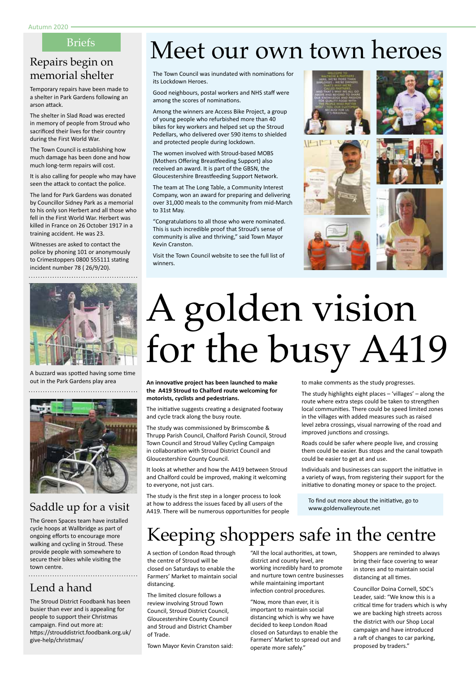#### Briefs

## memorial shelter

Temporary repairs have been made to a shelter in Park Gardens following an arson attack.

The shelter in Slad Road was erected in memory of people from Stroud who sacrificed their lives for their country during the First World War.

The Town Council is establishing how much damage has been done and how much long-term repairs will cost.

It is also calling for people who may have seen the attack to contact the police.

The land for Park Gardens was donated by Councillor Sidney Park as a memorial to his only son Herbert and all those who fell in the First World War. Herbert was killed in France on 26 October 1917 in a training accident. He was 23.

Witnesses are asked to contact the police by phoning 101 or anonymously to Crimestoppers 0800 555111 stating incident number 78 ( 26/9/20).

A buzzard was spotted having some time out in the Park Gardens play area



### Saddle up for a visit

The Green Spaces team have installed cycle hoops at Wallbridge as part of ongoing efforts to encourage more walking and cycling in Stroud. These provide people with somewhere to secure their bikes while visiting the town centre. 

#### Lend a hand

The Stroud District Foodbank has been busier than ever and is appealing for people to support their Christmas campaign. Find out more at: https://strouddistrict.foodbank.org.uk/ give-help/christmas/

## Briefs Meet our own town heroes

The Town Council was inundated with nominations for its Lockdown Heroes.

Good neighbours, postal workers and NHS staff were among the scores of nominations.

Among the winners are Access Bike Project, a group of young people who refurbished more than 40 bikes for key workers and helped set up the Stroud Pedellars, who delivered over 590 items to shielded and protected people during lockdown.

The women involved with Stroud-based MOBS (Mothers Offering Breastfeeding Support) also received an award. It is part of the GBSN, the Gloucestershire Breastfeeding Support Network.

The team at The Long Table, a Community Interest Company, won an award for preparing and delivering over 31,000 meals to the community from mid-March to 31st May.

"Congratulations to all those who were nominated. This is such incredible proof that Stroud's sense of community is alive and thriving," said Town Mayor Kevin Cranston.

Visit the Town Council website to see the full list of winners.









## A golden vision for the busy A419

**An innovative project has been launched to make the A419 Stroud to Chalford route welcoming for motorists, cyclists and pedestrians.**

The initiative suggests creating a designated footway and cycle track along the busy route.

The study was commissioned by Brimscombe & Thrupp Parish Council, Chalford Parish Council, Stroud Town Council and Stroud Valley Cycling Campaign in collaboration with Stroud District Council and Gloucestershire County Council.

It looks at whether and how the A419 between Stroud and Chalford could be improved, making it welcoming to everyone, not just cars.

The study is the first step in a longer process to look at how to address the issues faced by all users of the A419. There will be numerous opportunities for people to make comments as the study progresses.

The study highlights eight places – 'villages' – along the route where extra steps could be taken to strengthen local communities. There could be speed limited zones in the villages with added measures such as raised level zebra crossings, visual narrowing of the road and improved junctions and crossings.

Roads could be safer where people live, and crossing them could be easier. Bus stops and the canal towpath could be easier to get at and use.

Individuals and businesses can support the initiative in a variety of ways, from registering their support for the initiative to donating money or space to the project.

To find out more about the initiative, go to www.goldenvalleyroute.net

## Keeping shoppers safe in the centre

A section of London Road through the centre of Stroud will be closed on Saturdays to enable the Farmers' Market to maintain social distancing

The limited closure follows a review involving Stroud Town Council, Stroud District Council, Gloucestershire County Council and Stroud and District Chamber of Trade.

Town Mayor Kevin Cranston said:

"All the local authorities, at town, district and county level, are working incredibly hard to promote and nurture town centre businesses while maintaining important infection control procedures.

"Now, more than ever, it is important to maintain social distancing which is why we have decided to keep London Road closed on Saturdays to enable the Farmers' Market to spread out and operate more safely."

Shoppers are reminded to always bring their face covering to wear in stores and to maintain social distancing at all times.

Councillor Doina Cornell, SDC's Leader, said: "We know this is a critical time for traders which is why we are backing high streets across the district with our Shop Local campaign and have introduced a raft of changes to car parking, proposed by traders."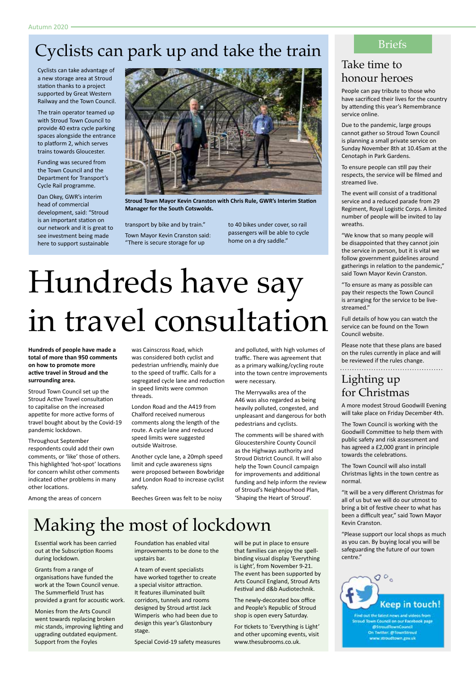## Cyclists can park up and take the train

Cyclists can take advantage of a new storage area at Stroud station thanks to a project supported by Great Western Railway and the Town Council.

The train operator teamed up with Stroud Town Council to provide 40 extra cycle parking spaces alongside the entrance to platform 2, which serves trains towards Gloucester.

Funding was secured from the Town Council and the Department for Transport's Cycle Rail programme.

Dan Okey, GWR's interim head of commercial development, said: "Stroud is an important station on our network and it is great to see investment being made here to support sustainable



**Stroud Town Mayor Kevin Cranston with Chris Rule, GWR's Interim Station Manager for the South Cotswolds.**

transport by bike and by train." Town Mayor Kevin Cranston said: "There is secure storage for up

to 40 bikes under cover, so rail passengers will be able to cycle home on a dry saddle."

## Hundreds have say in travel consultation

**Hundreds of people have made a total of more than 950 comments on how to promote more active travel in Stroud and the surrounding area.** 

Stroud Town Council set up the Stroud Active Travel consultation to capitalise on the increased appetite for more active forms of travel bought about by the Covid-19 pandemic lockdown.

#### Throughout September

respondents could add their own comments, or 'like' those of others. This highlighted 'hot-spot' locations for concern whilst other comments indicated other problems in many other locations.

Among the areas of concern

was Cainscross Road, which was considered both cyclist and pedestrian unfriendly, mainly due to the speed of traffic. Calls for a segregated cycle lane and reduction in speed limits were common threads.

London Road and the A419 from Chalford received numerous comments along the length of the route. A cycle lane and reduced speed limits were suggested outside Waitrose.

Another cycle lane, a 20mph speed limit and cycle awareness signs were proposed between Bowbridge and London Road to increase cyclist safety.

Beeches Green was felt to be noisy

and polluted, with high volumes of traffic. There was agreement that as a primary walking/cycling route into the town centre improvements were necessary.

The Merrywalks area of the A46 was also regarded as being heavily polluted, congested, and unpleasant and dangerous for both pedestrians and cyclists.

The comments will be shared with Gloucestershire County Council as the Highways authority and Stroud District Council. It will also help the Town Council campaign for improvements and additional funding and help inform the review of Stroud's Neighbourhood Plan, 'Shaping the Heart of Stroud'.

## Making the most of lockdown

Essential work has been carried out at the Subscription Rooms during lockdown.

Grants from a range of organisations have funded the work at the Town Council venue. The Summerfield Trust has provided a grant for acoustic work.

Monies from the Arts Council went towards replacing broken mic stands, improving lighting and upgrading outdated equipment. Support from the Foyles

Foundation has enabled vital improvements to be done to the upstairs bar.

A team of event specialists have worked together to create a special visitor attraction. It features illuminated built corridors, tunnels and rooms designed by Stroud artist Jack Wimperis who had been due to design this year's Glastonbury stage.

Special Covid-19 safety measures

will be put in place to ensure that families can enjoy the spellbinding visual display 'Everything is Light', from November 9-21. The event has been supported by Arts Council England, Stroud Arts Festival and d&b Audiotechnik.

The newly-decorated box office and People's Republic of Stroud shop is open every Saturday.

For tickets to 'Everything is Light' and other upcoming events, visit www.thesubrooms.co.uk.

#### Briefs

### Take time to honour heroes

People can pay tribute to those who have sacrificed their lives for the country by attending this year's Remembrance service online.

Due to the pandemic, large groups cannot gather so Stroud Town Council is planning a small private service on Sunday November 8th at 10.45am at the Cenotaph in Park Gardens.

To ensure people can still pay their respects, the service will be filmed and streamed live.

The event will consist of a traditional service and a reduced parade from 29 Regiment, Royal Logistic Corps. A limited number of people will be invited to lay wreaths.

"We know that so many people will be disappointed that they cannot join the service in person, but it is vital we follow government guidelines around gatherings in relation to the pandemic," said Town Mayor Kevin Cranston.

"To ensure as many as possible can pay their respects the Town Council is arranging for the service to be livestreamed."

Full details of how you can watch the service can be found on the Town Council website.

Please note that these plans are based on the rules currently in place and will be reviewed if the rules change.

### Lighting up for Christmas

A more modest Stroud Goodwill Evening will take place on Friday December 4th.

The Town Council is working with the Goodwill Committee to help them with public safety and risk assessment and has agreed a £2,000 grant in principle towards the celebrations.

The Town Council will also install Christmas lights in the town centre as normal.

"It will be a very different Christmas for all of us but we will do our utmost to bring a bit of festive cheer to what has been a difficult year," said Town Mayor Kevin Cranston.

"Please support our local shops as much as you can. By buying local you will be safeguarding the future of our town centre."